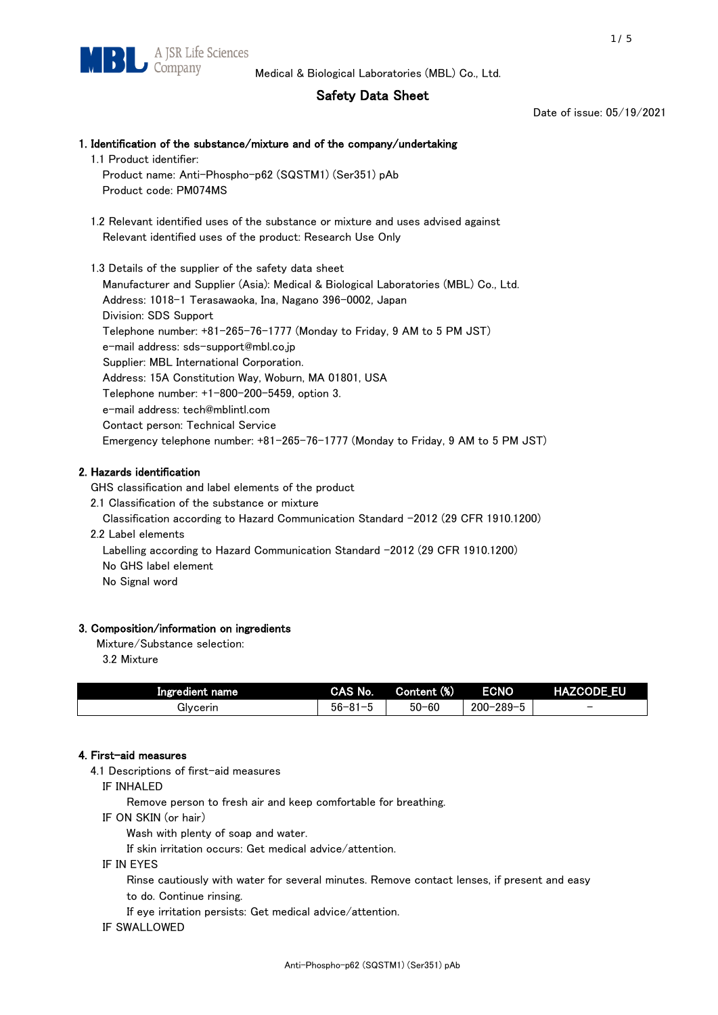# Safety Data Sheet

Date of issue: 05/19/2021

# 1. Identification of the substance/mixture and of the company/undertaking 1.1 Product identifier: Product name: Anti-Phospho-p62 (SQSTM1) (Ser351) pAb Product code: PM074MS 1.2 Relevant identified uses of the substance or mixture and uses advised against Relevant identified uses of the product: Research Use Only 1.3 Details of the supplier of the safety data sheet Manufacturer and Supplier (Asia): Medical & Biological Laboratories (MBL) Co., Ltd.

Address: 1018-1 Terasawaoka, Ina, Nagano 396-0002, Japan Division: SDS Support Telephone number: +81-265-76-1777 (Monday to Friday, 9 AM to 5 PM JST) e-mail address: sds-support@mbl.co.jp Supplier: MBL International Corporation. Address: 15A Constitution Way, Woburn, MA 01801, USA Telephone number: +1-800-200-5459, option 3. e-mail address: tech@mblintl.com Contact person: Technical Service Emergency telephone number: +81-265-76-1777 (Monday to Friday, 9 AM to 5 PM JST)

# 2. Hazards identification

GHS classification and label elements of the product

2.1 Classification of the substance or mixture

Classification according to Hazard Communication Standard -2012 (29 CFR 1910.1200)

2.2 Label elements

Labelling according to Hazard Communication Standard -2012 (29 CFR 1910.1200) No GHS label element

No Signal word

## 3. Composition/information on ingredients

Mixture/Substance selection:

3.2 Mixture

| Ingredient name | CAS No.             | Content (%) | <b>ECNO</b>                                              | <b>HAZCODE_EU</b>        |
|-----------------|---------------------|-------------|----------------------------------------------------------|--------------------------|
| Glvcerin        | $56 - 81 -$<br>ິບ ເ | $50 - 60$   | $-289 - 1$<br>$200 - 2$<br>$\overline{\phantom{0}}$<br>v | $\overline{\phantom{0}}$ |

## 4. First-aid measures

4.1 Descriptions of first-aid measures

IF INHALED

Remove person to fresh air and keep comfortable for breathing.

IF ON SKIN (or hair)

Wash with plenty of soap and water.

If skin irritation occurs: Get medical advice/attention.

IF IN EYES

Rinse cautiously with water for several minutes. Remove contact lenses, if present and easy

to do. Continue rinsing.

If eye irritation persists: Get medical advice/attention.

IF SWALLOWED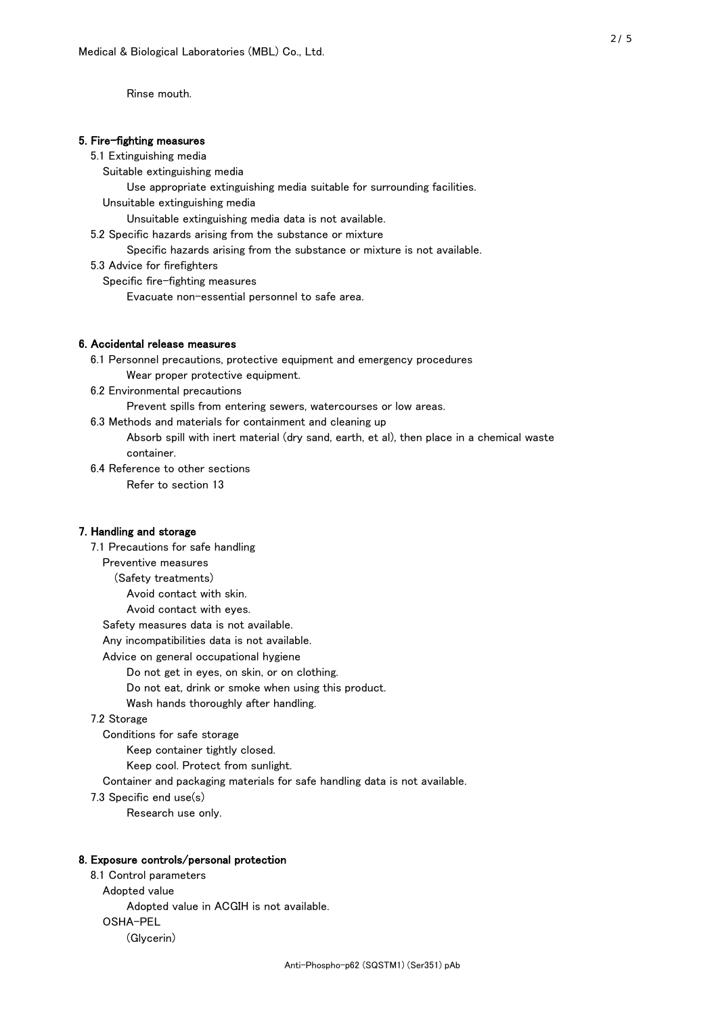Rinse mouth.

### 5. Fire-fighting measures

#### 5.1 Extinguishing media

Suitable extinguishing media

- Use appropriate extinguishing media suitable for surrounding facilities.
- Unsuitable extinguishing media

Unsuitable extinguishing media data is not available.

5.2 Specific hazards arising from the substance or mixture

Specific hazards arising from the substance or mixture is not available.

5.3 Advice for firefighters

Specific fire-fighting measures

Evacuate non-essential personnel to safe area.

#### 6. Accidental release measures

- 6.1 Personnel precautions, protective equipment and emergency procedures Wear proper protective equipment.
- 6.2 Environmental precautions

Prevent spills from entering sewers, watercourses or low areas.

6.3 Methods and materials for containment and cleaning up

- Absorb spill with inert material (dry sand, earth, et al), then place in a chemical waste container.
- 6.4 Reference to other sections

Refer to section 13

### 7. Handling and storage

 7.1 Precautions for safe handling Preventive measures (Safety treatments) Avoid contact with skin. Avoid contact with eyes. Safety measures data is not available. Any incompatibilities data is not available. Advice on general occupational hygiene Do not get in eyes, on skin, or on clothing. Do not eat, drink or smoke when using this product. Wash hands thoroughly after handling. 7.2 Storage Conditions for safe storage Keep container tightly closed.

Keep cool. Protect from sunlight.

Container and packaging materials for safe handling data is not available.

7.3 Specific end use(s)

Research use only.

#### 8. Exposure controls/personal protection

 8.1 Control parameters Adopted value Adopted value in ACGIH is not available. OSHA-PEL (Glycerin)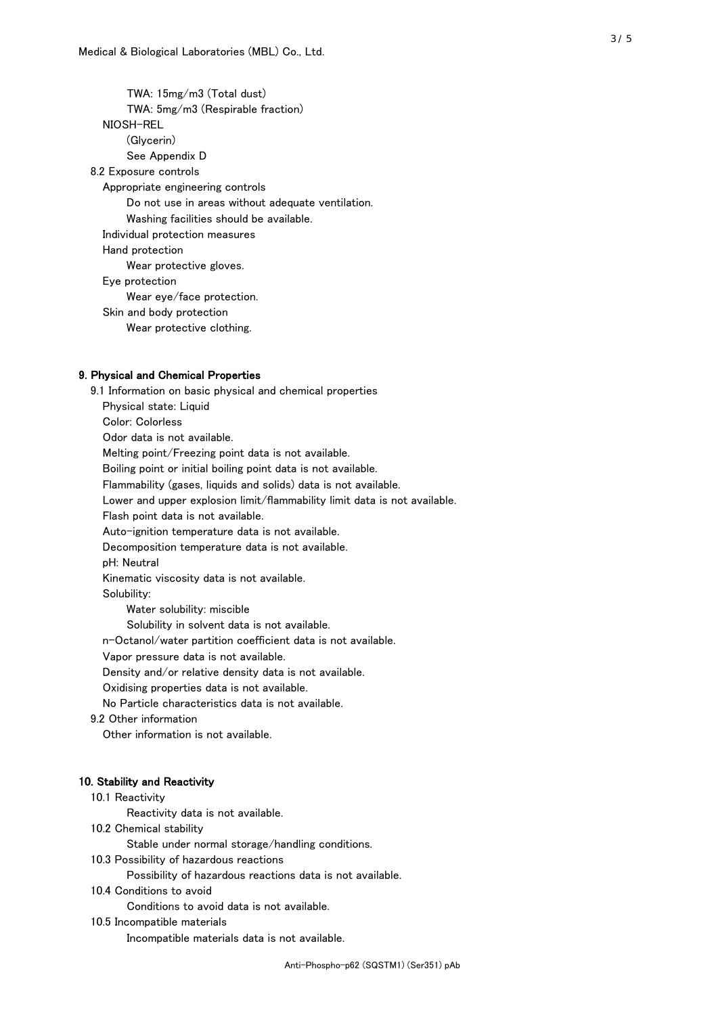TWA: 15mg/m3 (Total dust) TWA: 5mg/m3 (Respirable fraction) NIOSH-REL (Glycerin) See Appendix D 8.2 Exposure controls Appropriate engineering controls Do not use in areas without adequate ventilation. Washing facilities should be available. Individual protection measures Hand protection Wear protective gloves. Eye protection Wear eye/face protection. Skin and body protection Wear protective clothing.

## 9. Physical and Chemical Properties

 9.1 Information on basic physical and chemical properties Physical state: Liquid Color: Colorless Odor data is not available. Melting point/Freezing point data is not available. Boiling point or initial boiling point data is not available. Flammability (gases, liquids and solids) data is not available. Lower and upper explosion limit/flammability limit data is not available. Flash point data is not available. Auto-ignition temperature data is not available. Decomposition temperature data is not available. pH: Neutral Kinematic viscosity data is not available. Solubility: Water solubility: miscible Solubility in solvent data is not available. n-Octanol/water partition coefficient data is not available. Vapor pressure data is not available. Density and/or relative density data is not available. Oxidising properties data is not available. No Particle characteristics data is not available. 9.2 Other information Other information is not available. 10. Stability and Reactivity 10.1 Reactivity Reactivity data is not available.

10.2 Chemical stability

Stable under normal storage/handling conditions.

10.3 Possibility of hazardous reactions

Possibility of hazardous reactions data is not available.

10.4 Conditions to avoid

Conditions to avoid data is not available.

10.5 Incompatible materials

Incompatible materials data is not available.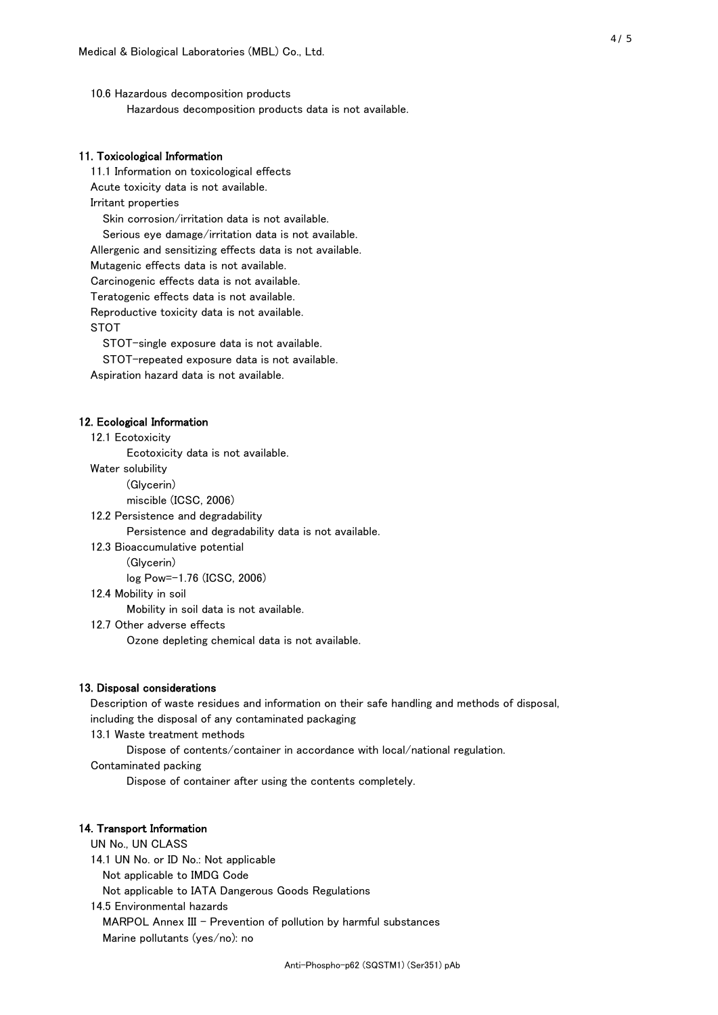10.6 Hazardous decomposition products Hazardous decomposition products data is not available.

## 11. Toxicological Information

 11.1 Information on toxicological effects Acute toxicity data is not available. Irritant properties Skin corrosion/irritation data is not available. Serious eye damage/irritation data is not available. Allergenic and sensitizing effects data is not available. Mutagenic effects data is not available. Carcinogenic effects data is not available. Teratogenic effects data is not available. Reproductive toxicity data is not available. STOT

STOT-single exposure data is not available.

STOT-repeated exposure data is not available.

Aspiration hazard data is not available.

#### 12. Ecological Information

12.1 Ecotoxicity

Ecotoxicity data is not available.

Water solubility

(Glycerin)

miscible (ICSC, 2006)

12.2 Persistence and degradability

Persistence and degradability data is not available.

12.3 Bioaccumulative potential

(Glycerin)

log Pow=-1.76 (ICSC, 2006)

12.4 Mobility in soil

Mobility in soil data is not available.

12.7 Other adverse effects

Ozone depleting chemical data is not available.

#### 13. Disposal considerations

 Description of waste residues and information on their safe handling and methods of disposal, including the disposal of any contaminated packaging

13.1 Waste treatment methods

Dispose of contents/container in accordance with local/national regulation.

Contaminated packing

Dispose of container after using the contents completely.

#### 14. Transport Information

 UN No., UN CLASS 14.1 UN No. or ID No.: Not applicable Not applicable to IMDG Code Not applicable to IATA Dangerous Goods Regulations

 14.5 Environmental hazards MARPOL Annex III - Prevention of pollution by harmful substances Marine pollutants (yes/no): no